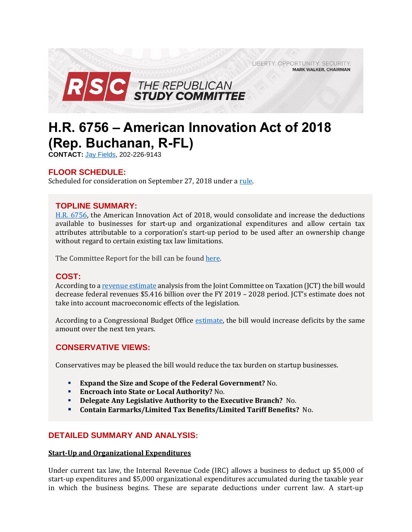LIBERTY. OPPORTUNITY. SECURITY. **MARK WALKER, CHAIRMAN** 



# **H.R. 6756 – American Innovation Act of 2018 (Rep. Buchanan, R-FL)**

**CONTACT:** Jay [Fields,](mailto:jay.fields@mail.house.gov) 202-226-9143

# **FLOOR SCHEDULE:**

Scheduled for consideration on September 27, 2018 under a [rule.](https://rules.house.gov/bill/115/hr-6756)

# **TOPLINE SUMMARY:**

[H.R. 6756,](https://www.gpo.gov/fdsys/pkg/BILLS-115hr6756ih/pdf/BILLS-115hr6756ih.pdf) the American Innovation Act of 2018, would consolidate and increase the deductions available to businesses for start-up and organizational expenditures and allow certain tax attributes attributable to a corporation's start-up period to be used after an ownership change without regard to certain existing tax law limitations.

The Committee Report for the bill can be foun[d here.](https://docs.house.gov/billsthisweek/20180924/CRPT-115hrpt957.pdf)

# **COST:**

According to [a revenue estimate](https://www.jct.gov/publications.html?func=download&id=5144&chk=5144&no_html=1) analysis from the Joint Committee on Taxation (JCT) the bill would decrease federal revenues \$5.416 billion over the FY 2019 – 2028 period. JCT's estimate does not take into account macroeconomic effects of the legislation.

According to a Congressional Budget Office [estimate,](https://www.cbo.gov/system/files?file=2018-09/hr6756.pdf) the bill would increase deficits by the same amount over the next ten years.

# **CONSERVATIVE VIEWS:**

Conservatives may be pleased the bill would reduce the tax burden on startup businesses.

- **Expand the Size and Scope of the Federal Government?** No.
- **Encroach into State or Local Authority?** No.
- **Delegate Any Legislative Authority to the Executive Branch?** No.
- **Contain Earmarks/Limited Tax Benefits/Limited Tariff Benefits?** No.

# **DETAILED SUMMARY AND ANALYSIS:**

### **Start-Up and Organizational Expenditures**

Under current tax law, the Internal Revenue Code (IRC) allows a business to deduct up \$5,000 of start-up expenditures and \$5,000 organizational expenditures accumulated during the taxable year in which the business begins. These are separate deductions under current law. A start-up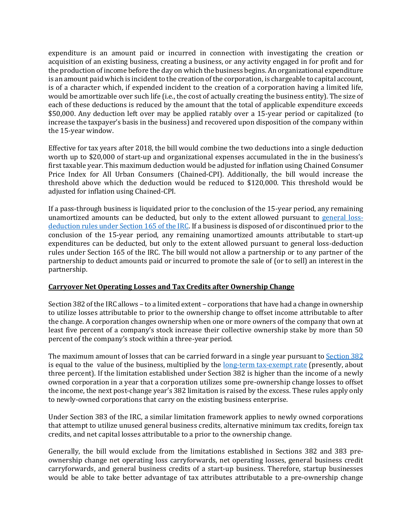expenditure is an amount paid or incurred in connection with investigating the creation or acquisition of an existing business, creating a business, or any activity engaged in for profit and for the production of income before the day on which the business begins. An organizational expenditure is an amount paid which is incident to the creation of the corporation, is chargeable to capital account, is of a character which, if expended incident to the creation of a corporation having a limited life, would be amortizable over such life (i.e., the cost of actually creating the business entity). The size of each of these deductions is reduced by the amount that the total of applicable expenditure exceeds \$50,000. Any deduction left over may be applied ratably over a 15-year period or capitalized (to increase the taxpayer's basis in the business) and recovered upon disposition of the company within the 15-year window.

Effective for tax years after 2018, the bill would combine the two deductions into a single deduction worth up to \$20,000 of start-up and organizational expenses accumulated in the in the business's first taxable year. This maximum deduction would be adjusted for inflation using Chained Consumer Price Index for All Urban Consumers (Chained-CPI). Additionally, the bill would increase the threshold above which the deduction would be reduced to \$120,000. This threshold would be adjusted for inflation using Chained-CPI.

If a pass-through business is liquidated prior to the conclusion of the 15-year period, any remaining unamortized amounts can be deducted, but only to the extent allowed pursuant to [general loss](http://uscode.house.gov/view.xhtml?req=(title:26%20section:165%20edition:prelim)%20OR%20(granuleid:USC-prelim-title26-section165)&f=treesort&edition=prelim&num=0&jumpTo=true)[deduction rules under Section 165 of the IRC.](http://uscode.house.gov/view.xhtml?req=(title:26%20section:165%20edition:prelim)%20OR%20(granuleid:USC-prelim-title26-section165)&f=treesort&edition=prelim&num=0&jumpTo=true) If a business is disposed of or discontinued prior to the conclusion of the 15-year period, any remaining unamortized amounts attributable to start-up expenditures can be deducted, but only to the extent allowed pursuant to general loss-deduction rules under Section 165 of the IRC. The bill would not allow a partnership or to any partner of the partnership to deduct amounts paid or incurred to promote the sale of (or to sell) an interest in the partnership.

## **Carryover Net Operating Losses and Tax Credits after Ownership Change**

Section 382 of the IRC allows – to a limited extent – corporations that have had a change in ownership to utilize losses attributable to prior to the ownership change to offset income attributable to after the change. A corporation changes ownership when one or more owners of the company that own at least five percent of a company's stock increase their collective ownership stake by more than 50 percent of the company's stock within a three-year period.

The maximum amount of losses that can be carried forward in a single year pursuant to [Section 382](http://uscode.house.gov/view.xhtml?req=(title:26%20section:382%20edition:prelim)%20OR%20(granuleid:USC-prelim-title26-section382)&f=treesort&edition=prelim&num=0&jumpTo=true) is equal to the value of the business, multiplied by the [long-term tax-exempt rate](https://www.irs.gov/pub/irs-drop/rr-18-27.pdf) (presently, about three percent). If the limitation established under Section 382 is higher than the income of a newly owned corporation in a year that a corporation utilizes some pre-ownership change losses to offset the income, the next post-change year's 382 limitation is raised by the excess. These rules apply only to newly-owned corporations that carry on the existing business enterprise.

Under Section 383 of the IRC, a similar limitation framework applies to newly owned corporations that attempt to utilize unused general business credits, alternative minimum tax credits, foreign tax credits, and net capital losses attributable to a prior to the ownership change.

Generally, the bill would exclude from the limitations established in Sections 382 and 383 preownership change net operating loss carryforwards, net operating losses, general business credit carryforwards, and general business credits of a start-up business. Therefore, startup businesses would be able to take better advantage of tax attributes attributable to a pre-ownership change